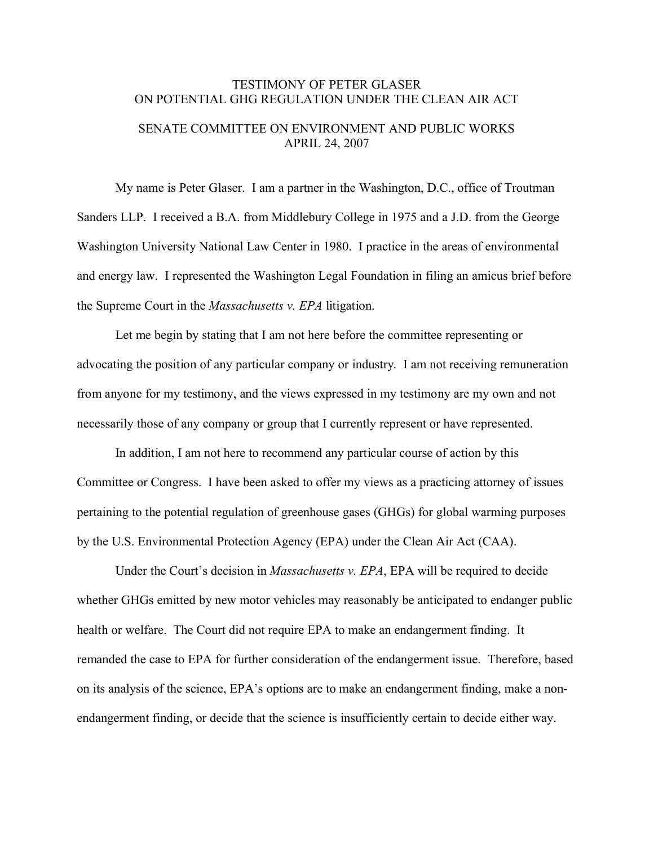## TESTIMONY OF PETER GLASER ON POTENTIAL GHG REGULATION UNDER THE CLEAN AIR ACT SENATE COMMITTEE ON ENVIRONMENT AND PUBLIC WORKS APRIL 24, 2007

My name is Peter Glaser. I am a partner in the Washington, D.C., office of Troutman Sanders LLP. I received a B.A. from Middlebury College in 1975 and a J.D. from the George Washington University National Law Center in 1980. I practice in the areas of environmental and energy law. I represented the Washington Legal Foundation in filing an amicus brief before the Supreme Court in the *Massachusetts v. EPA* litigation.

Let me begin by stating that I am not here before the committee representing or advocating the position of any particular company or industry. I am not receiving remuneration from anyone for my testimony, and the views expressed in my testimony are my own and not necessarily those of any company or group that I currently represent or have represented.

In addition, I am not here to recommend any particular course of action by this Committee or Congress. I have been asked to offer my views as a practicing attorney of issues pertaining to the potential regulation of greenhouse gases (GHGs) for global warming purposes by the U.S. Environmental Protection Agency (EPA) under the Clean Air Act (CAA).

Under the Court's decision in *Massachusetts v. EPA*, EPA will be required to decide whether GHGs emitted by new motor vehicles may reasonably be anticipated to endanger public health or welfare. The Court did not require EPA to make an endangerment finding. It remanded the case to EPA for further consideration of the endangerment issue. Therefore, based on its analysis of the science, EPA's options are to make an endangerment finding, make a nonendangerment finding, or decide that the science is insufficiently certain to decide either way.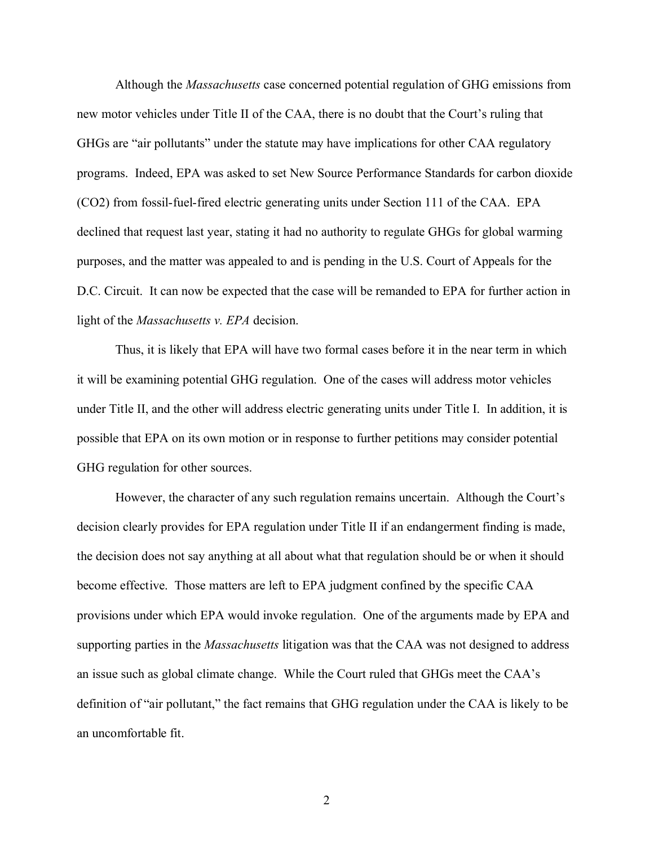Although the *Massachusetts* case concerned potential regulation of GHG emissions from new motor vehicles under Title II of the CAA, there is no doubt that the Court's ruling that GHGs are "air pollutants" under the statute may have implications for other CAA regulatory programs. Indeed, EPA was asked to set New Source Performance Standards for carbon dioxide (CO2) from fossil-fuel-fired electric generating units under Section 111 of the CAA. EPA declined that request last year, stating it had no authority to regulate GHGs for global warming purposes, and the matter was appealed to and is pending in the U.S. Court of Appeals for the D.C. Circuit. It can now be expected that the case will be remanded to EPA for further action in light of the *Massachusetts v. EPA* decision.

Thus, it is likely that EPA will have two formal cases before it in the near term in which it will be examining potential GHG regulation. One of the cases will address motor vehicles under Title II, and the other will address electric generating units under Title I. In addition, it is possible that EPA on its own motion or in response to further petitions may consider potential GHG regulation for other sources.

However, the character of any such regulation remains uncertain. Although the Court's decision clearly provides for EPA regulation under Title II if an endangerment finding is made, the decision does not say anything at all about what that regulation should be or when it should become effective. Those matters are left to EPA judgment confined by the specific CAA provisions under which EPA would invoke regulation. One of the arguments made by EPA and supporting parties in the *Massachusetts* litigation was that the CAA was not designed to address an issue such as global climate change. While the Court ruled that GHGs meet the CAA's definition of "air pollutant," the fact remains that GHG regulation under the CAA is likely to be an uncomfortable fit.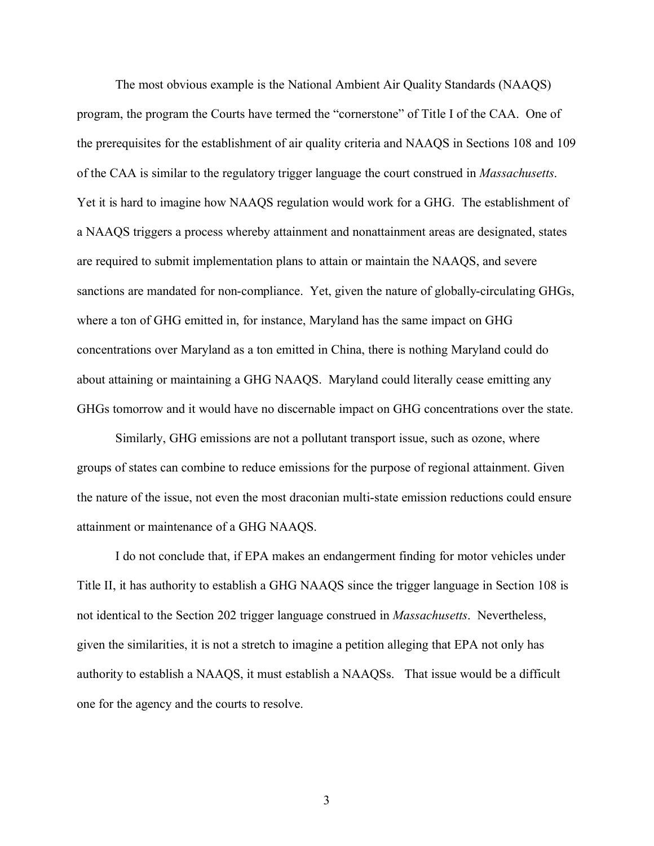The most obvious example is the National Ambient Air Quality Standards (NAAQS) program, the program the Courts have termed the "cornerstone" of Title I of the CAA. One of the prerequisites for the establishment of air quality criteria and NAAQS in Sections 108 and 109 of the CAA is similar to the regulatory trigger language the court construed in *Massachusetts*. Yet it is hard to imagine how NAAQS regulation would work for a GHG. The establishment of a NAAQS triggers a process whereby attainment and nonattainment areas are designated, states are required to submit implementation plans to attain or maintain the NAAQS, and severe sanctions are mandated for non-compliance. Yet, given the nature of globally-circulating GHGs, where a ton of GHG emitted in, for instance, Maryland has the same impact on GHG concentrations over Maryland as a ton emitted in China, there is nothing Maryland could do about attaining or maintaining a GHG NAAQS. Maryland could literally cease emitting any GHGs tomorrow and it would have no discernable impact on GHG concentrations over the state.

Similarly, GHG emissions are not a pollutant transport issue, such as ozone, where groups of states can combine to reduce emissions for the purpose of regional attainment. Given the nature of the issue, not even the most draconian multi-state emission reductions could ensure attainment or maintenance of a GHG NAAQS.

I do not conclude that, if EPA makes an endangerment finding for motor vehicles under Title II, it has authority to establish a GHG NAAQS since the trigger language in Section 108 is not identical to the Section 202 trigger language construed in *Massachusetts*. Nevertheless, given the similarities, it is not a stretch to imagine a petition alleging that EPA not only has authority to establish a NAAQS, it must establish a NAAQSs. That issue would be a difficult one for the agency and the courts to resolve.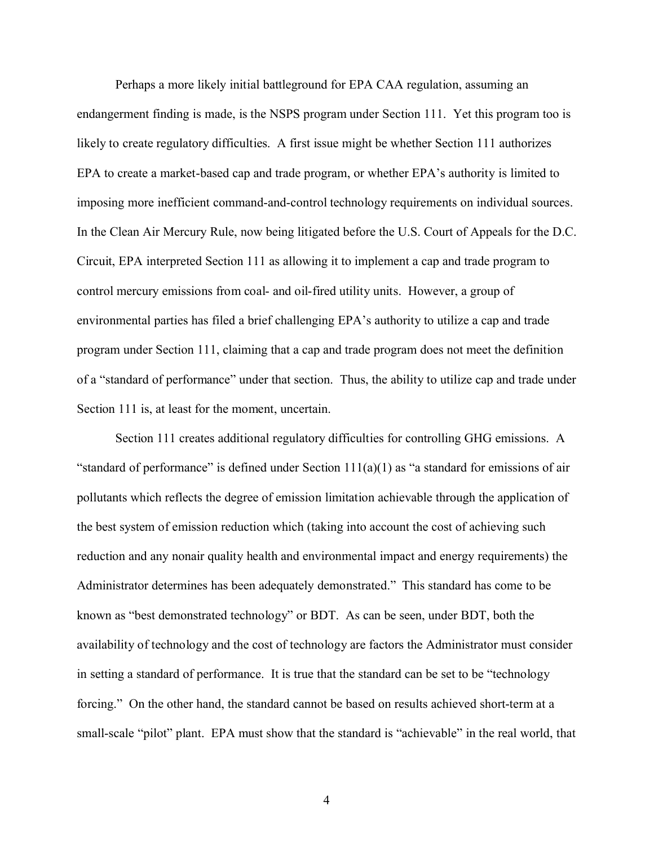Perhaps a more likely initial battleground for EPA CAA regulation, assuming an endangerment finding is made, is the NSPS program under Section 111. Yet this program too is likely to create regulatory difficulties. A first issue might be whether Section 111 authorizes EPA to create a market-based cap and trade program, or whether EPA's authority is limited to imposing more inefficient command-and-control technology requirements on individual sources. In the Clean Air Mercury Rule, now being litigated before the U.S. Court of Appeals for the D.C. Circuit, EPA interpreted Section 111 as allowing it to implement a cap and trade program to control mercury emissions from coal- and oil-fired utility units. However, a group of environmental parties has filed a brief challenging EPA's authority to utilize a cap and trade program under Section 111, claiming that a cap and trade program does not meet the definition of a "standard of performance" under that section. Thus, the ability to utilize cap and trade under Section 111 is, at least for the moment, uncertain.

Section 111 creates additional regulatory difficulties for controlling GHG emissions. A "standard of performance" is defined under Section  $111(a)(1)$  as "a standard for emissions of air pollutants which reflects the degree of emission limitation achievable through the application of the best system of emission reduction which (taking into account the cost of achieving such reduction and any nonair quality health and environmental impact and energy requirements) the Administrator determines has been adequately demonstrated." This standard has come to be known as "best demonstrated technology" or BDT. As can be seen, under BDT, both the availability of technology and the cost of technology are factors the Administrator must consider in setting a standard of performance. It is true that the standard can be set to be "technology forcing." On the other hand, the standard cannot be based on results achieved short-term at a small-scale "pilot" plant. EPA must show that the standard is "achievable" in the real world, that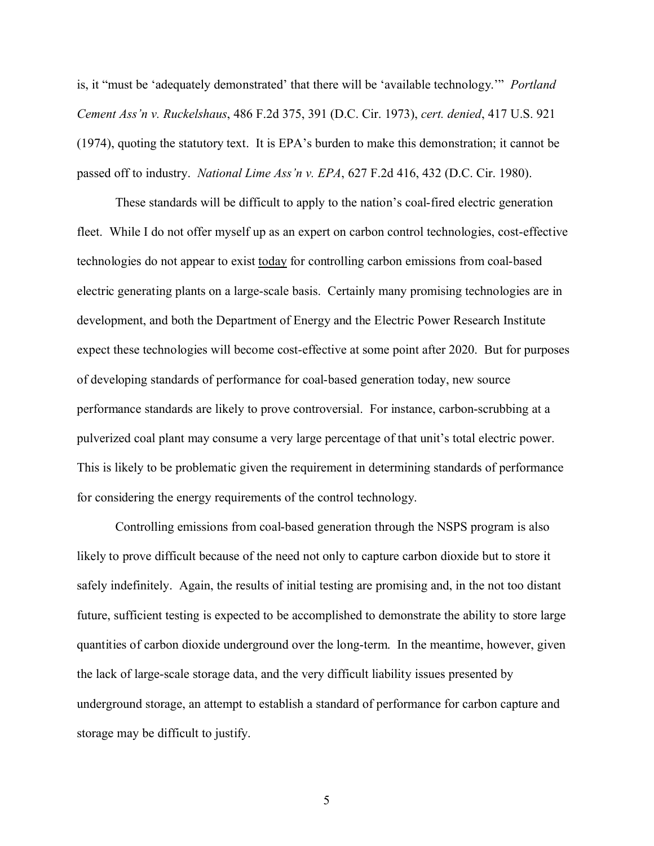is, it "must be 'adequately demonstrated' that there will be 'available technology.'" *Portland Cement Ass'n v. Ruckelshaus*, 486 F.2d 375, 391 (D.C. Cir. 1973), *cert. denied*, 417 U.S. 921 (1974), quoting the statutory text. It is EPA's burden to make this demonstration; it cannot be passed off to industry. *National Lime Ass'n v. EPA*, 627 F.2d 416, 432 (D.C. Cir. 1980).

These standards will be difficult to apply to the nation's coal-fired electric generation fleet. While I do not offer myself up as an expert on carbon control technologies, cost-effective technologies do not appear to exist today for controlling carbon emissions from coal-based electric generating plants on a large-scale basis. Certainly many promising technologies are in development, and both the Department of Energy and the Electric Power Research Institute expect these technologies will become cost-effective at some point after 2020. But for purposes of developing standards of performance for coal-based generation today, new source performance standards are likely to prove controversial. For instance, carbon-scrubbing at a pulverized coal plant may consume a very large percentage of that unit's total electric power. This is likely to be problematic given the requirement in determining standards of performance for considering the energy requirements of the control technology.

Controlling emissions from coal-based generation through the NSPS program is also likely to prove difficult because of the need not only to capture carbon dioxide but to store it safely indefinitely. Again, the results of initial testing are promising and, in the not too distant future, sufficient testing is expected to be accomplished to demonstrate the ability to store large quantities of carbon dioxide underground over the long-term. In the meantime, however, given the lack of large-scale storage data, and the very difficult liability issues presented by underground storage, an attempt to establish a standard of performance for carbon capture and storage may be difficult to justify.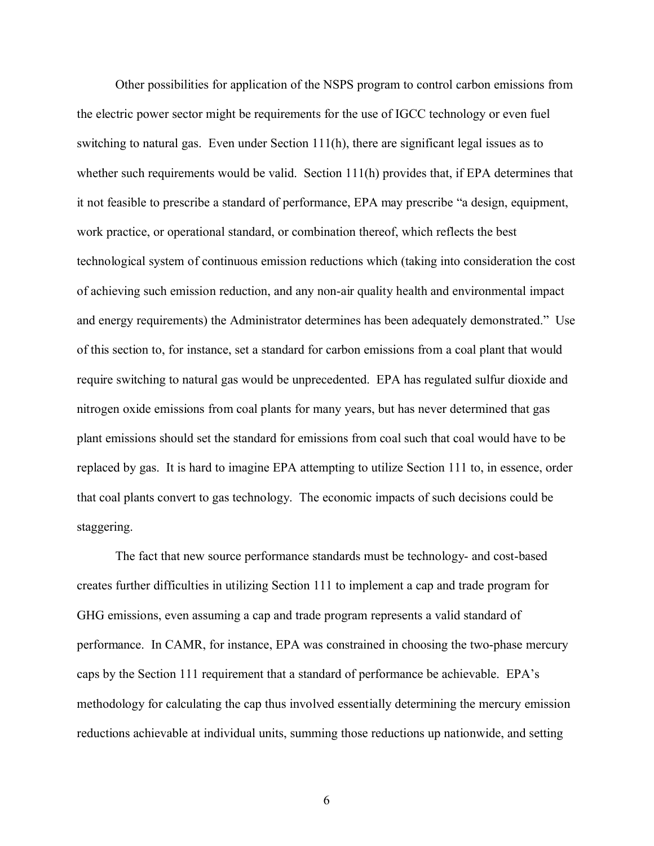Other possibilities for application of the NSPS program to control carbon emissions from the electric power sector might be requirements for the use of IGCC technology or even fuel switching to natural gas. Even under Section 111(h), there are significant legal issues as to whether such requirements would be valid. Section 111(h) provides that, if EPA determines that it not feasible to prescribe a standard of performance, EPA may prescribe "a design, equipment, work practice, or operational standard, or combination thereof, which reflects the best technological system of continuous emission reductions which (taking into consideration the cost of achieving such emission reduction, and any non-air quality health and environmental impact and energy requirements) the Administrator determines has been adequately demonstrated." Use of this section to, for instance, set a standard for carbon emissions from a coal plant that would require switching to natural gas would be unprecedented. EPA has regulated sulfur dioxide and nitrogen oxide emissions from coal plants for many years, but has never determined that gas plant emissions should set the standard for emissions from coal such that coal would have to be replaced by gas. It is hard to imagine EPA attempting to utilize Section 111 to, in essence, order that coal plants convert to gas technology. The economic impacts of such decisions could be staggering.

The fact that new source performance standards must be technology- and cost-based creates further difficulties in utilizing Section 111 to implement a cap and trade program for GHG emissions, even assuming a cap and trade program represents a valid standard of performance. In CAMR, for instance, EPA was constrained in choosing the two-phase mercury caps by the Section 111 requirement that a standard of performance be achievable. EPA's methodology for calculating the cap thus involved essentially determining the mercury emission reductions achievable at individual units, summing those reductions up nationwide, and setting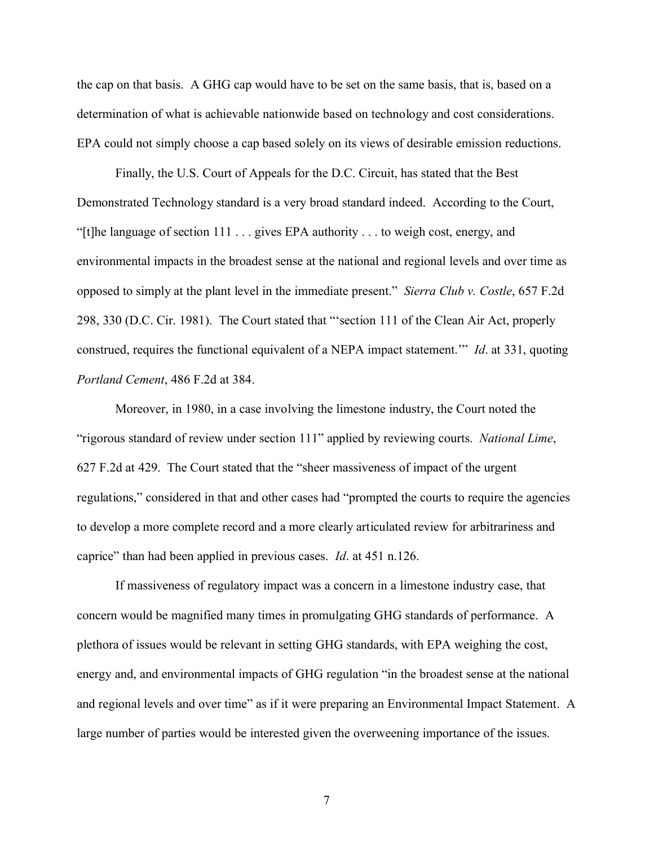the cap on that basis. A GHG cap would have to be set on the same basis, that is, based on a determination of what is achievable nationwide based on technology and cost considerations. EPA could not simply choose a cap based solely on its views of desirable emission reductions.

Finally, the U.S. Court of Appeals for the D.C. Circuit, has stated that the Best Demonstrated Technology standard is a very broad standard indeed. According to the Court, "[t]he language of section 111 . . . gives EPA authority . . . to weigh cost, energy, and environmental impacts in the broadest sense at the national and regional levels and over time as opposed to simply at the plant level in the immediate present." *Sierra Club v. Costle*, 657 F.2d 298, 330 (D.C. Cir. 1981). The Court stated that "'section 111 of the Clean Air Act, properly construed, requires the functional equivalent of a NEPA impact statement.'" *Id*. at 331, quoting *Portland Cement*, 486 F.2d at 384.

Moreover, in 1980, in a case involving the limestone industry, the Court noted the "rigorous standard of review under section 111" applied by reviewing courts. *National Lime*, 627 F.2d at 429. The Court stated that the "sheer massiveness of impact of the urgent regulations," considered in that and other cases had "prompted the courts to require the agencies to develop a more complete record and a more clearly articulated review for arbitrariness and caprice" than had been applied in previous cases. *Id*. at 451 n.126.

If massiveness of regulatory impact was a concern in a limestone industry case, that concern would be magnified many times in promulgating GHG standards of performance. A plethora of issues would be relevant in setting GHG standards, with EPA weighing the cost, energy and, and environmental impacts of GHG regulation "in the broadest sense at the national and regional levels and over time" as if it were preparing an Environmental Impact Statement. A large number of parties would be interested given the overweening importance of the issues.